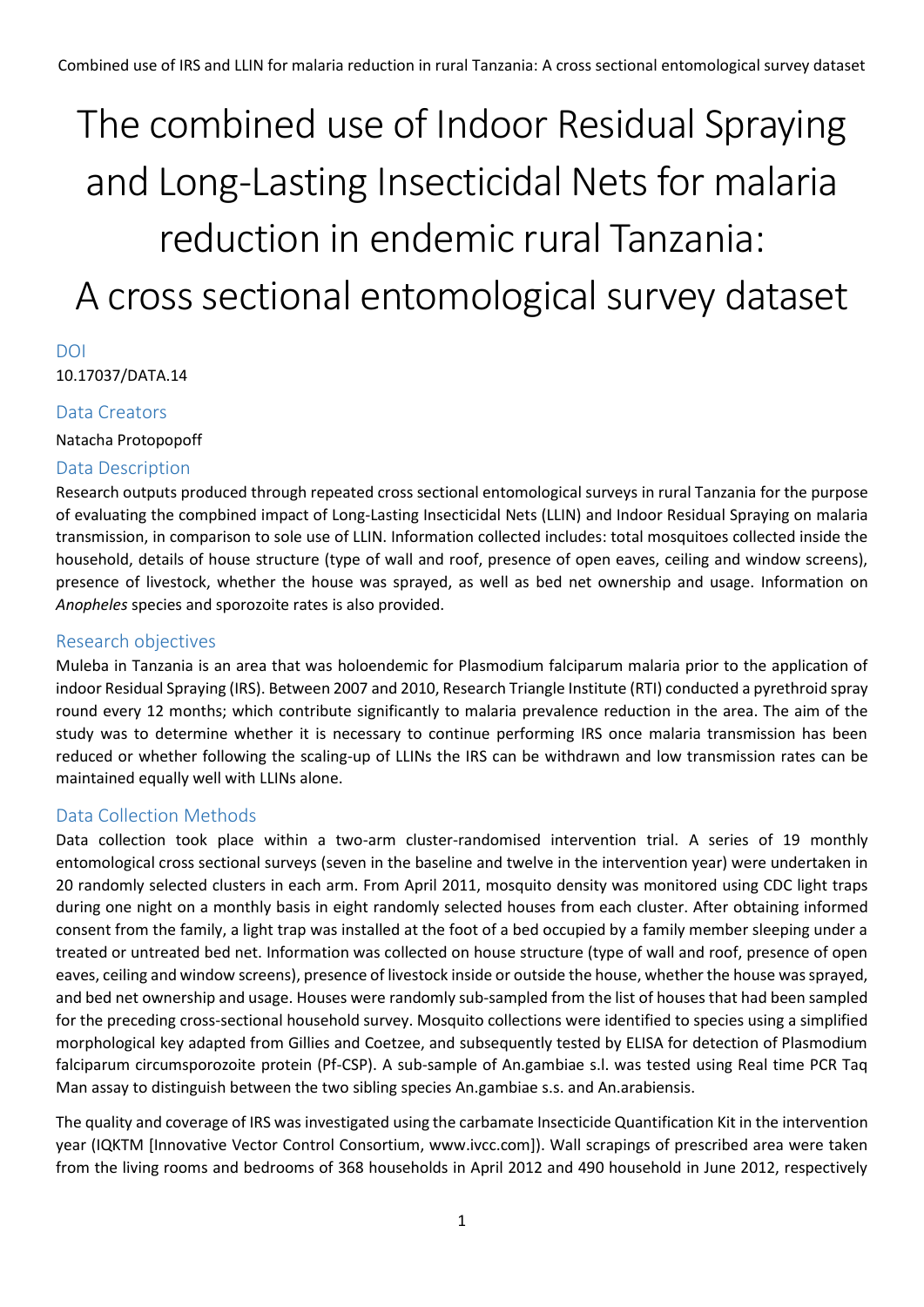# The combined use of Indoor Residual Spraying and Long-Lasting Insecticidal Nets for malaria reduction in endemic rural Tanzania: A cross sectional entomological survey dataset

# DOI

10.17037/DATA.14

# Data Creators

Natacha Protopopoff

# Data Description

Research outputs produced through repeated cross sectional entomological surveys in rural Tanzania for the purpose of evaluating the compbined impact of Long-Lasting Insecticidal Nets (LLIN) and Indoor Residual Spraying on malaria transmission, in comparison to sole use of LLIN. Information collected includes: total mosquitoes collected inside the household, details of house structure (type of wall and roof, presence of open eaves, ceiling and window screens), presence of livestock, whether the house was sprayed, as well as bed net ownership and usage. Information on *Anopheles* species and sporozoite rates is also provided.

# Research objectives

Muleba in Tanzania is an area that was holoendemic for Plasmodium falciparum malaria prior to the application of indoor Residual Spraying (IRS). Between 2007 and 2010, Research Triangle Institute (RTI) conducted a pyrethroid spray round every 12 months; which contribute significantly to malaria prevalence reduction in the area. The aim of the study was to determine whether it is necessary to continue performing IRS once malaria transmission has been reduced or whether following the scaling-up of LLINs the IRS can be withdrawn and low transmission rates can be maintained equally well with LLINs alone.

# Data Collection Methods

Data collection took place within a two-arm cluster-randomised intervention trial. A series of 19 monthly entomological cross sectional surveys (seven in the baseline and twelve in the intervention year) were undertaken in 20 randomly selected clusters in each arm. From April 2011, mosquito density was monitored using CDC light traps during one night on a monthly basis in eight randomly selected houses from each cluster. After obtaining informed consent from the family, a light trap was installed at the foot of a bed occupied by a family member sleeping under a treated or untreated bed net. Information was collected on house structure (type of wall and roof, presence of open eaves, ceiling and window screens), presence of livestock inside or outside the house, whether the house was sprayed, and bed net ownership and usage. Houses were randomly sub-sampled from the list of houses that had been sampled for the preceding cross-sectional household survey. Mosquito collections were identified to species using a simplified morphological key adapted from Gillies and Coetzee, and subsequently tested by ELISA for detection of Plasmodium falciparum circumsporozoite protein (Pf-CSP). A sub-sample of An.gambiae s.l. was tested using Real time PCR Taq Man assay to distinguish between the two sibling species An.gambiae s.s. and An.arabiensis.

The quality and coverage of IRS was investigated using the carbamate Insecticide Quantification Kit in the intervention year (IQKTM [Innovative Vector Control Consortium, www.ivcc.com]). Wall scrapings of prescribed area were taken from the living rooms and bedrooms of 368 households in April 2012 and 490 household in June 2012, respectively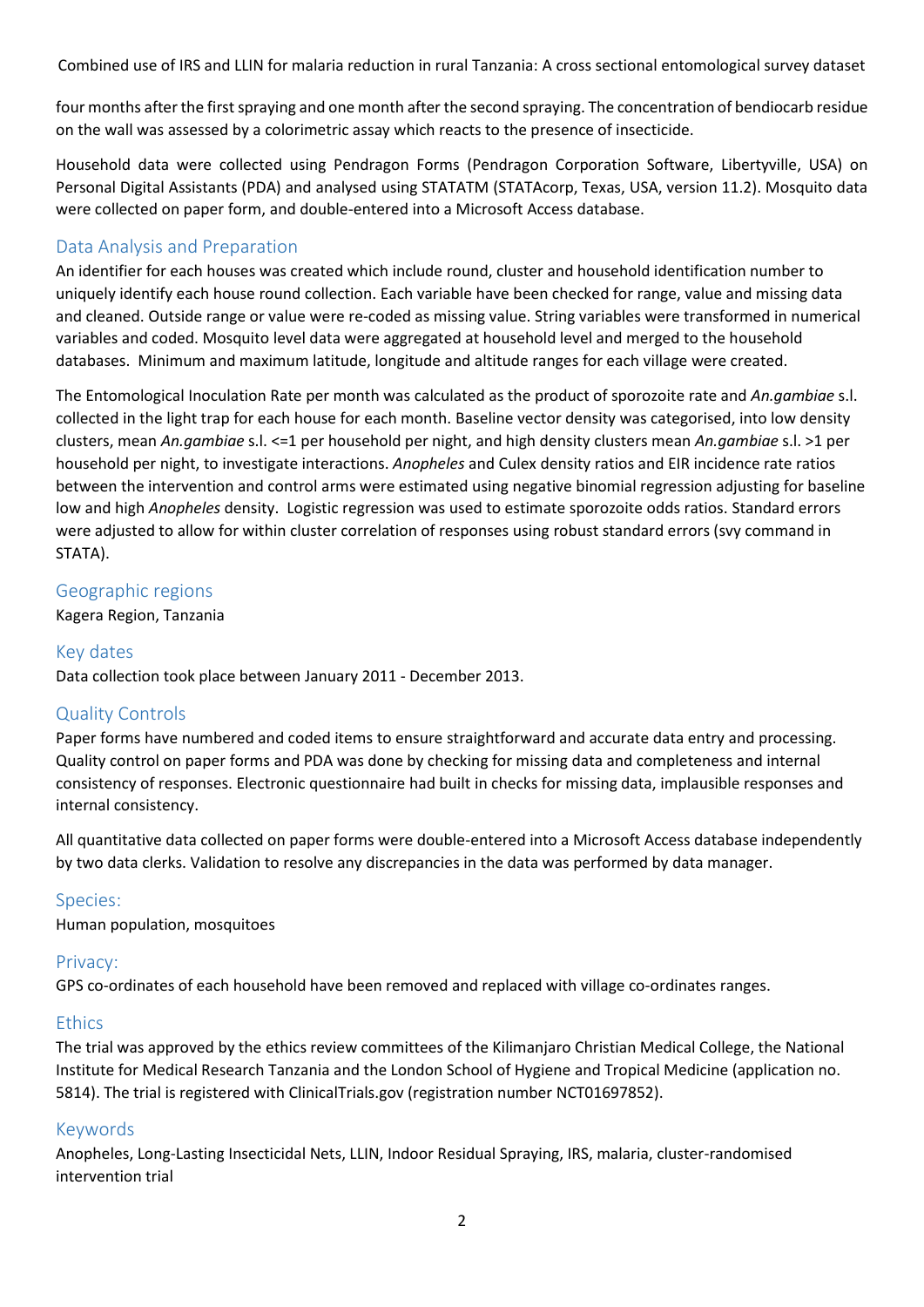Combined use of IRS and LLIN for malaria reduction in rural Tanzania: A cross sectional entomological survey dataset

four months after the first spraying and one month after the second spraying. The concentration of bendiocarb residue on the wall was assessed by a colorimetric assay which reacts to the presence of insecticide.

Household data were collected using Pendragon Forms (Pendragon Corporation Software, Libertyville, USA) on Personal Digital Assistants (PDA) and analysed using STATATM (STATAcorp, Texas, USA, version 11.2). Mosquito data were collected on paper form, and double-entered into a Microsoft Access database.

# Data Analysis and Preparation

An identifier for each houses was created which include round, cluster and household identification number to uniquely identify each house round collection. Each variable have been checked for range, value and missing data and cleaned. Outside range or value were re-coded as missing value. String variables were transformed in numerical variables and coded. Mosquito level data were aggregated at household level and merged to the household databases. Minimum and maximum latitude, longitude and altitude ranges for each village were created.

The Entomological Inoculation Rate per month was calculated as the product of sporozoite rate and *An.gambiae* s.l. collected in the light trap for each house for each month. Baseline vector density was categorised, into low density clusters, mean *An.gambiae* s.l. <=1 per household per night, and high density clusters mean *An.gambiae* s.l. >1 per household per night, to investigate interactions. *Anopheles* and Culex density ratios and EIR incidence rate ratios between the intervention and control arms were estimated using negative binomial regression adjusting for baseline low and high *Anopheles* density. Logistic regression was used to estimate sporozoite odds ratios. Standard errors were adjusted to allow for within cluster correlation of responses using robust standard errors (svy command in STATA).

# Geographic regions

Kagera Region, Tanzania

## Key dates

Data collection took place between January 2011 - December 2013.

# Quality Controls

Paper forms have numbered and coded items to ensure straightforward and accurate data entry and processing. Quality control on paper forms and PDA was done by checking for missing data and completeness and internal consistency of responses. Electronic questionnaire had built in checks for missing data, implausible responses and internal consistency.

All quantitative data collected on paper forms were double-entered into a Microsoft Access database independently by two data clerks. Validation to resolve any discrepancies in the data was performed by data manager.

#### Species:

Human population, mosquitoes

#### Privacy:

GPS co-ordinates of each household have been removed and replaced with village co-ordinates ranges.

#### **Ethics**

The trial was approved by the ethics review committees of the Kilimanjaro Christian Medical College, the National Institute for Medical Research Tanzania and the London School of Hygiene and Tropical Medicine (application no. 5814). The trial is registered with ClinicalTrials.gov (registration number NCT01697852).

#### Keywords

Anopheles, Long-Lasting Insecticidal Nets, LLIN, Indoor Residual Spraying, IRS, malaria, cluster-randomised intervention trial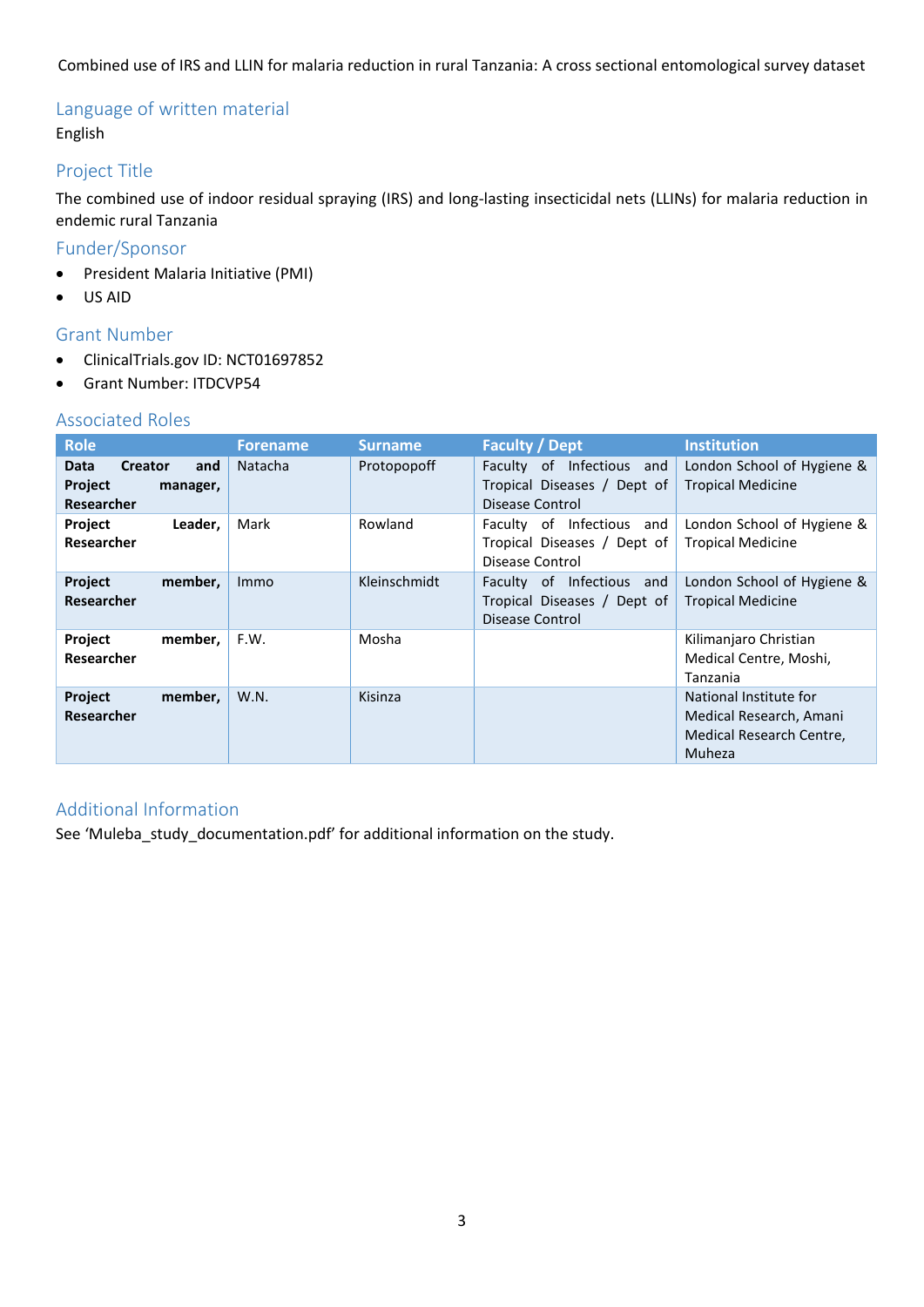Combined use of IRS and LLIN for malaria reduction in rural Tanzania: A cross sectional entomological survey dataset

# Language of written material English

# Project Title

The combined use of indoor residual spraying (IRS) and long-lasting insecticidal nets (LLINs) for malaria reduction in endemic rural Tanzania

# Funder/Sponsor

- President Malaria Initiative (PMI)
- US AID

## Grant Number

- ClinicalTrials.gov ID: NCT01697852
- Grant Number: ITDCVP54

# Associated Roles

| <b>Role</b>                                                               | <b>Forename</b> | <b>Surname</b> | <b>Faculty / Dept</b>                                                             | <b>Institution</b>                                                                      |
|---------------------------------------------------------------------------|-----------------|----------------|-----------------------------------------------------------------------------------|-----------------------------------------------------------------------------------------|
| <b>Creator</b><br><b>Data</b><br>and<br>Project<br>manager,<br>Researcher | <b>Natacha</b>  | Protopopoff    | Infectious<br>Faculty of<br>and<br>Tropical Diseases / Dept of<br>Disease Control | London School of Hygiene &<br><b>Tropical Medicine</b>                                  |
| Project<br>Leader,<br>Researcher                                          | Mark            | Rowland        | of Infectious<br>Faculty<br>and<br>Tropical Diseases / Dept of<br>Disease Control | London School of Hygiene &<br><b>Tropical Medicine</b>                                  |
| Project<br>member,<br>Researcher                                          | <b>Immo</b>     | Kleinschmidt   | Infectious<br>Faculty of<br>and<br>Tropical Diseases / Dept of<br>Disease Control | London School of Hygiene &<br><b>Tropical Medicine</b>                                  |
| Project<br>member,<br>Researcher                                          | F.W.            | Mosha          |                                                                                   | Kilimanjaro Christian<br>Medical Centre, Moshi,<br>Tanzania                             |
| Project<br>member,<br><b>Researcher</b>                                   | W.N.            | Kisinza        |                                                                                   | National Institute for<br>Medical Research, Amani<br>Medical Research Centre,<br>Muheza |

# Additional Information

See 'Muleba\_study\_documentation.pdf' for additional information on the study.